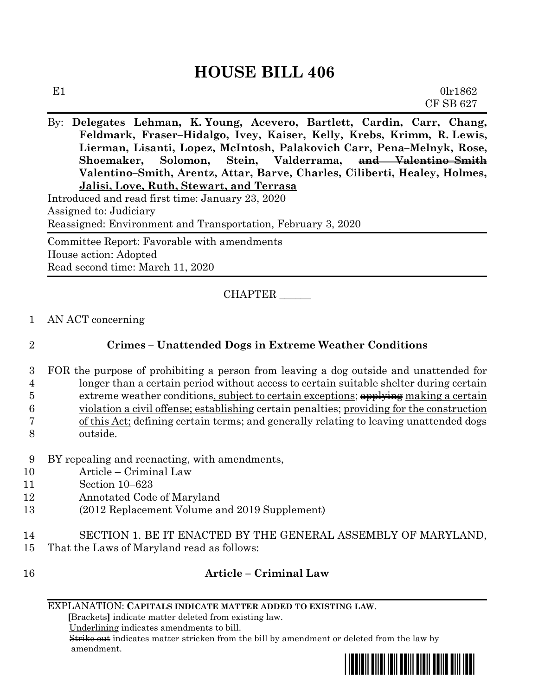# **HOUSE BILL 406**

By: **Delegates Lehman, K. Young, Acevero, Bartlett, Cardin, Carr, Chang, Feldmark, Fraser–Hidalgo, Ivey, Kaiser, Kelly, Krebs, Krimm, R. Lewis, Lierman, Lisanti, Lopez, McIntosh, Palakovich Carr, Pena–Melnyk, Rose, Shoemaker, Solomon, Stein, Valderrama, and Valentino–Smith Valentino–Smith, Arentz, Attar, Barve, Charles, Ciliberti, Healey, Holmes, Jalisi, Love, Ruth, Stewart, and Terrasa**

Introduced and read first time: January 23, 2020 Assigned to: Judiciary Reassigned: Environment and Transportation, February 3, 2020 Committee Report: Favorable with amendments House action: Adopted

Read second time: March 11, 2020

CHAPTER \_\_\_\_\_\_

1 AN ACT concerning

## 2 **Crimes – Unattended Dogs in Extreme Weather Conditions**

- 3 FOR the purpose of prohibiting a person from leaving a dog outside and unattended for 4 longer than a certain period without access to certain suitable shelter during certain 5 extreme weather conditions, subject to certain exceptions;  $\frac{a}{b}$  making a certain 6 violation a civil offense; establishing certain penalties; providing for the construction
- 7 of this Act; defining certain terms; and generally relating to leaving unattended dogs
- 8 outside.
- 9 BY repealing and reenacting, with amendments,
- 10 Article Criminal Law
- 11 Section 10–623
- 12 Annotated Code of Maryland
- 13 (2012 Replacement Volume and 2019 Supplement)
- 14 SECTION 1. BE IT ENACTED BY THE GENERAL ASSEMBLY OF MARYLAND,
- 15 That the Laws of Maryland read as follows:
- 16 **Article – Criminal Law**

#### EXPLANATION: **CAPITALS INDICATE MATTER ADDED TO EXISTING LAW**.

 **[**Brackets**]** indicate matter deleted from existing law.

Underlining indicates amendments to bill.

 Strike out indicates matter stricken from the bill by amendment or deleted from the law by amendment.

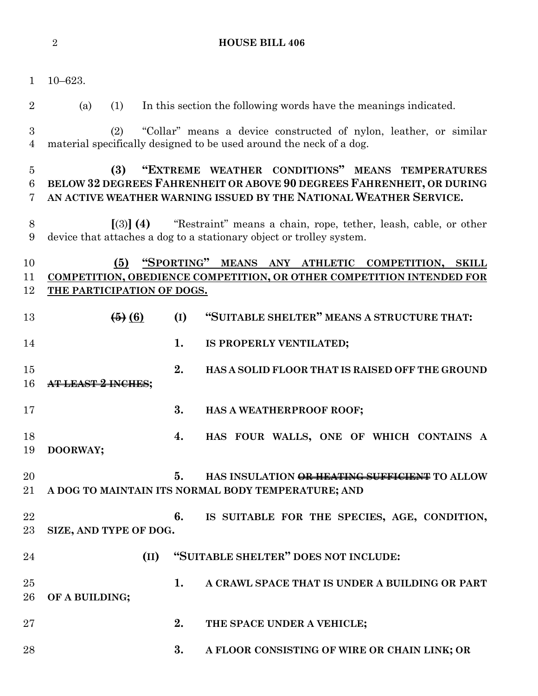|                          | $\overline{2}$                                                                                                                                                    | <b>HOUSE BILL 406</b>                                                                                                                                                                         |  |  |  |
|--------------------------|-------------------------------------------------------------------------------------------------------------------------------------------------------------------|-----------------------------------------------------------------------------------------------------------------------------------------------------------------------------------------------|--|--|--|
| $\mathbf{1}$             | $10 - 623.$                                                                                                                                                       |                                                                                                                                                                                               |  |  |  |
| $\overline{2}$           | (a)<br>(1)                                                                                                                                                        | In this section the following words have the meanings indicated.                                                                                                                              |  |  |  |
| $\boldsymbol{3}$<br>4    | (2)                                                                                                                                                               | "Collar" means a device constructed of nylon, leather, or similar<br>material specifically designed to be used around the neck of a dog.                                                      |  |  |  |
| $\overline{5}$<br>6<br>7 | (3)                                                                                                                                                               | "EXTREME WEATHER CONDITIONS" MEANS TEMPERATURES<br>BELOW 32 DEGREES FAHRENHEIT OR ABOVE 90 DEGREES FAHRENHEIT, OR DURING<br>AN ACTIVE WEATHER WARNING ISSUED BY THE NATIONAL WEATHER SERVICE. |  |  |  |
| 8<br>9                   |                                                                                                                                                                   | $\left[\binom{3}{3}\right]$ (4) "Restraint" means a chain, rope, tether, leash, cable, or other<br>device that attaches a dog to a stationary object or trolley system.                       |  |  |  |
| 10<br>11<br>12           | "SPORTING" MEANS ANY ATHLETIC<br>(5)<br>COMPETITION, SKILL<br>COMPETITION, OBEDIENCE COMPETITION, OR OTHER COMPETITION INTENDED FOR<br>THE PARTICIPATION OF DOGS. |                                                                                                                                                                                               |  |  |  |
| 13                       | $\left( 6 \right)$ $\left( 6 \right)$                                                                                                                             | "SUITABLE SHELTER" MEANS A STRUCTURE THAT:<br>(I)                                                                                                                                             |  |  |  |
| 14                       |                                                                                                                                                                   | 1.<br>IS PROPERLY VENTILATED;                                                                                                                                                                 |  |  |  |
| 15<br>16                 |                                                                                                                                                                   | 2.<br>HAS A SOLID FLOOR THAT IS RAISED OFF THE GROUND                                                                                                                                         |  |  |  |
| 17                       |                                                                                                                                                                   | 3.<br>HAS A WEATHERPROOF ROOF;                                                                                                                                                                |  |  |  |
| 18<br>19                 | DOORWAY;                                                                                                                                                          | HAS FOUR WALLS, ONE OF WHICH CONTAINS A<br>4.                                                                                                                                                 |  |  |  |
| 20<br>21                 |                                                                                                                                                                   | 5.<br>HAS INSULATION OR HEATING SUFFICIENT TO ALLOW<br>A DOG TO MAINTAIN ITS NORMAL BODY TEMPERATURE; AND                                                                                     |  |  |  |
| 22<br>23                 | SIZE, AND TYPE OF DOG.                                                                                                                                            | 6.<br>IS SUITABLE FOR THE SPECIES, AGE, CONDITION,                                                                                                                                            |  |  |  |
| 24                       | (II)                                                                                                                                                              | "SUITABLE SHELTER" DOES NOT INCLUDE:                                                                                                                                                          |  |  |  |
| 25<br>26                 | OF A BUILDING;                                                                                                                                                    | 1.<br>A CRAWL SPACE THAT IS UNDER A BUILDING OR PART                                                                                                                                          |  |  |  |
| 27                       |                                                                                                                                                                   | 2.<br>THE SPACE UNDER A VEHICLE;                                                                                                                                                              |  |  |  |
| 28                       |                                                                                                                                                                   | 3.<br>A FLOOR CONSISTING OF WIRE OR CHAIN LINK; OR                                                                                                                                            |  |  |  |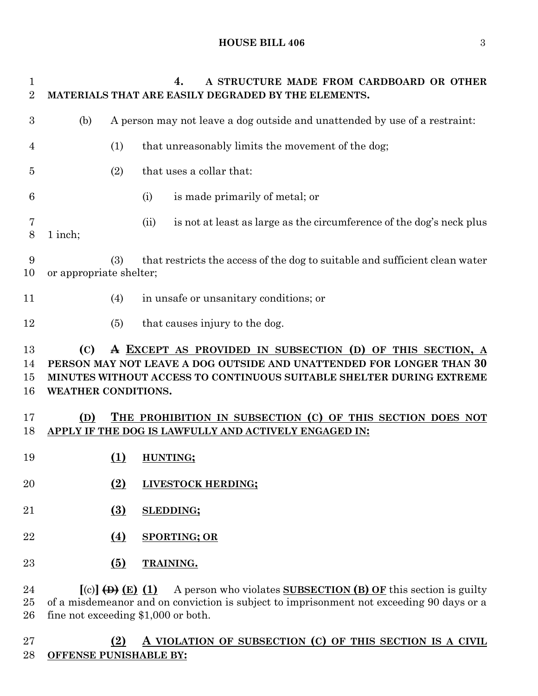### **HOUSE BILL 406** 3

| 1<br>$\overline{2}$ |                                                                                                               |                  | 4.<br>A STRUCTURE MADE FROM CARDBOARD OR OTHER<br>MATERIALS THAT ARE EASILY DEGRADED BY THE ELEMENTS. |  |  |
|---------------------|---------------------------------------------------------------------------------------------------------------|------------------|-------------------------------------------------------------------------------------------------------|--|--|
| 3                   | (b)                                                                                                           |                  | A person may not leave a dog outside and unattended by use of a restraint:                            |  |  |
| 4                   |                                                                                                               | (1)              | that unreasonably limits the movement of the dog;                                                     |  |  |
| 5                   |                                                                                                               | (2)              | that uses a collar that:                                                                              |  |  |
| 6                   |                                                                                                               |                  | (i)<br>is made primarily of metal; or                                                                 |  |  |
| 7<br>8              | 1 inch;                                                                                                       |                  | (ii)<br>is not at least as large as the circumference of the dog's neck plus                          |  |  |
| 9<br>10             | that restricts the access of the dog to suitable and sufficient clean water<br>(3)<br>or appropriate shelter; |                  |                                                                                                       |  |  |
| 11                  |                                                                                                               | (4)              | in unsafe or unsanitary conditions; or                                                                |  |  |
| 12                  |                                                                                                               | (5)              | that causes injury to the dog.                                                                        |  |  |
|                     |                                                                                                               |                  |                                                                                                       |  |  |
|                     |                                                                                                               |                  |                                                                                                       |  |  |
| 13                  | (C)                                                                                                           |                  | A EXCEPT AS PROVIDED IN SUBSECTION (D) OF THIS SECTION, A                                             |  |  |
| 14                  |                                                                                                               |                  | PERSON MAY NOT LEAVE A DOG OUTSIDE AND UNATTENDED FOR LONGER THAN 30                                  |  |  |
| 15<br>16            | <b>WEATHER CONDITIONS.</b>                                                                                    |                  | MINUTES WITHOUT ACCESS TO CONTINUOUS SUITABLE SHELTER DURING EXTREME                                  |  |  |
| 17                  | (D)                                                                                                           |                  | THE PROHIBITION IN SUBSECTION (C) OF THIS SECTION DOES NOT                                            |  |  |
| 18                  |                                                                                                               |                  | APPLY IF THE DOG IS LAWFULLY AND ACTIVELY ENGAGED IN:                                                 |  |  |
| 19                  |                                                                                                               | (1)              | HUNTING;                                                                                              |  |  |
| 20                  |                                                                                                               | (2)              | LIVESTOCK HERDING;                                                                                    |  |  |
| 21                  |                                                                                                               | $\Omega$         | <b>SLEDDING;</b>                                                                                      |  |  |
| 22                  |                                                                                                               | <u>(4)</u>       | <b>SPORTING; OR</b>                                                                                   |  |  |
| 23                  |                                                                                                               | $\overline{(5)}$ | TRAINING.                                                                                             |  |  |

fine not exceeding \$1,000 or both.

# **(2) A VIOLATION OF SUBSECTION (C) OF THIS SECTION IS A CIVIL OFFENSE PUNISHABLE BY:**